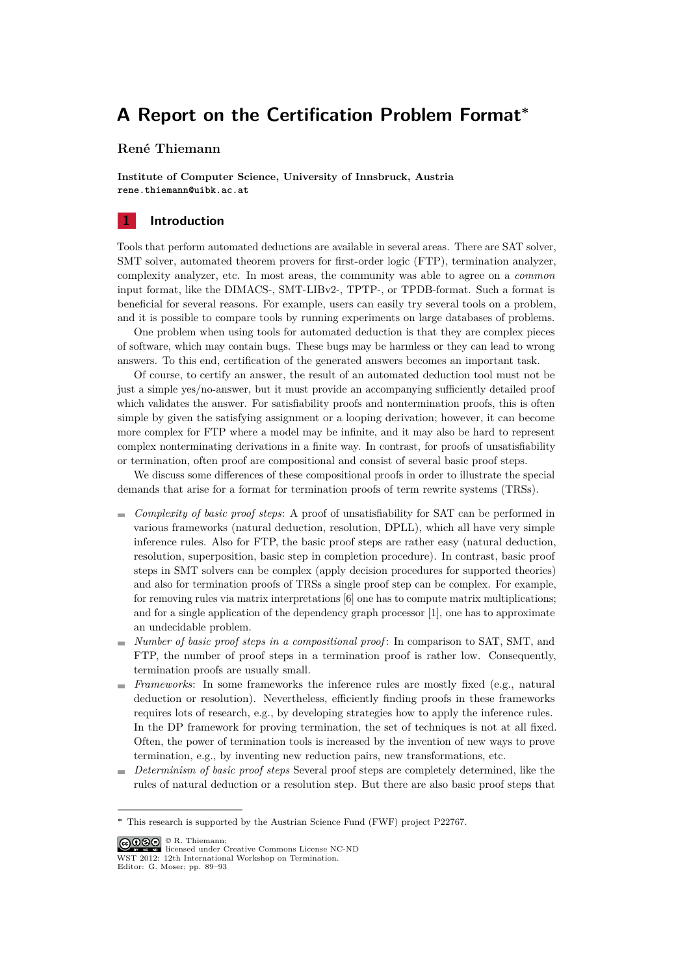# **A Report on the Certification Problem Format***<sup>∗</sup>*

# **René Thiemann**

**Institute of Computer Science, University of Innsbruck, Austria** rene.thiemann@uibk.ac.at

#### **1 Introduction**

Tools that perform automated deductions are available in several areas. There are SAT solver, SMT solver, automated theorem provers for first-order logic (FTP), termination analyzer, complexity analyzer, etc. In most areas, the community was able to agree on a *common* input format, like the DIMACS-, SMT-LIBv2-, TPTP-, or TPDB-format. Such a format is beneficial for several reasons. For example, users can easily try several tools on a problem, and it is possible to compare tools by running experiments on large databases of problems.

One problem when using tools for automated deduction is that they are complex pieces of software, which may contain bugs. These bugs may be harmless or they can lead to wrong answers. To this end, certification of the generated answers becomes an important task.

Of course, to certify an answer, the result of an automated deduction tool must not be just a simple yes/no-answer, but it must provide an accompanying sufficiently detailed proof which validates the answer. For satisfiability proofs and nontermination proofs, this is often simple by given the satisfying assignment or a looping derivation; however, it can become more complex for FTP where a model may be infinite, and it may also be hard to represent complex nonterminating derivations in a finite way. In contrast, for proofs of unsatisfiability or termination, often proof are compositional and consist of several basic proof steps.

We discuss some differences of these compositional proofs in order to illustrate the special demands that arise for a format for termination proofs of term rewrite systems (TRSs).

- *Complexity of basic proof steps*: A proof of unsatisfiability for SAT can be performed in m. various frameworks (natural deduction, resolution, DPLL), which all have very simple inference rules. Also for FTP, the basic proof steps are rather easy (natural deduction, resolution, superposition, basic step in completion procedure). In contrast, basic proof steps in SMT solvers can be complex (apply decision procedures for supported theories) and also for termination proofs of TRSs a single proof step can be complex. For example, for removing rules via matrix interpretations [6] one has to compute matrix multiplications; and for a single application of the dependency graph processor [1], one has to approximate an undecidable problem.
- *Number of basic proof steps in a compositional proof* : In comparison to SAT, SMT, and FTP, the number of proof steps in a termination proof is rather low. Consequently, termination proofs are usually small.
- *Frameworks*: In some frameworks the inference rules are mostly fixed (e.g., natural deduction or resolution). Nevertheless, efficiently finding proofs in these frameworks requires lots of research, e.g., by developing strategies how to apply the inference rules. In the DP framework for proving termination, the set of techniques is not at all fixed. Often, the power of termination tools is increased by the invention of new ways to prove termination, e.g., by inventing new reduction pairs, new transformations, etc.
- *Determinism of basic proof steps* Several proof steps are completely determined, like the  $\mathbf{r}$ rules of natural deduction or a resolution step. But there are also basic proof steps that

© R. Thiemann; licensed under Creative Commons License NC-ND WST 2012: 12th International Workshop on Termination Editor: G. Moser; pp. 89–93

*<sup>∗</sup>* This research is supported by the Austrian Science Fund (FWF) project P22767.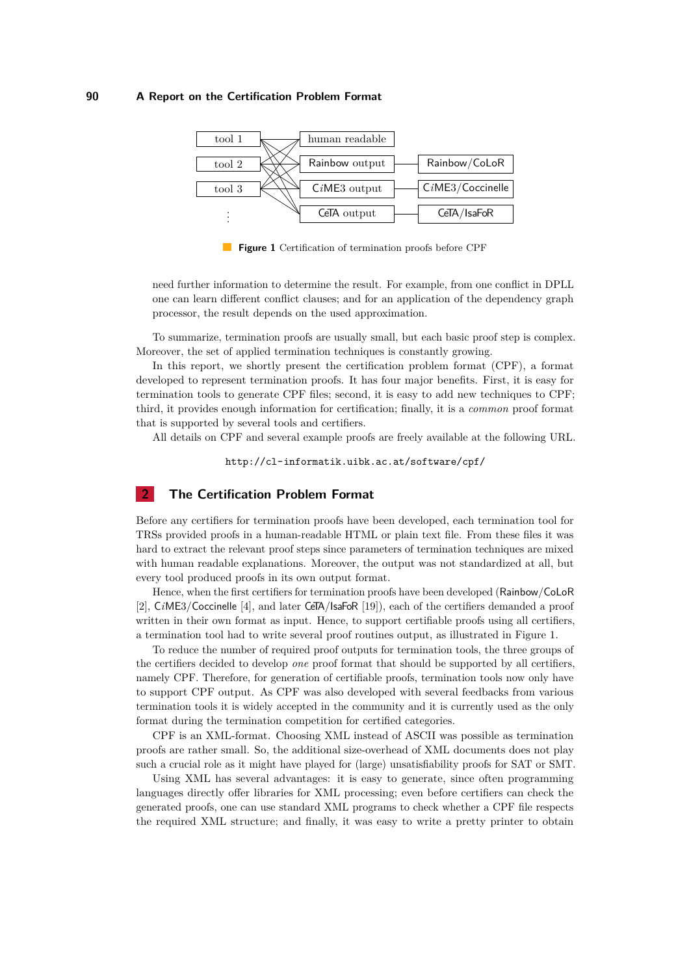#### **90 A Report on the Certification Problem Format**



**Figure 1** Certification of termination proofs before CPF

need further information to determine the result. For example, from one conflict in DPLL one can learn different conflict clauses; and for an application of the dependency graph processor, the result depends on the used approximation.

To summarize, termination proofs are usually small, but each basic proof step is complex. Moreover, the set of applied termination techniques is constantly growing.

In this report, we shortly present the certification problem format (CPF), a format developed to represent termination proofs. It has four major benefits. First, it is easy for termination tools to generate CPF files; second, it is easy to add new techniques to CPF; third, it provides enough information for certification; finally, it is a *common* proof format that is supported by several tools and certifiers.

All details on CPF and several example proofs are freely available at the following URL.

http://cl-informatik.uibk.ac.at/software/cpf/

### **2 The Certification Problem Format**

Before any certifiers for termination proofs have been developed, each termination tool for TRSs provided proofs in a human-readable HTML or plain text file. From these files it was hard to extract the relevant proof steps since parameters of termination techniques are mixed with human readable explanations. Moreover, the output was not standardized at all, but every tool produced proofs in its own output format.

Hence, when the first certifiers for termination proofs have been developed (Rainbow/CoLoR [2], C*i*ME3/Coccinelle [4], and later CeTA/IsaFoR [19]), each of the certifiers demanded a proof written in their own format as input. Hence, to support certifiable proofs using all certifiers, a termination tool had to write several proof routines output, as illustrated in Figure 1.

To reduce the number of required proof outputs for termination tools, the three groups of the certifiers decided to develop *one* proof format that should be supported by all certifiers, namely CPF. Therefore, for generation of certifiable proofs, termination tools now only have to support CPF output. As CPF was also developed with several feedbacks from various termination tools it is widely accepted in the community and it is currently used as the only format during the termination competition for certified categories.

CPF is an XML-format. Choosing XML instead of ASCII was possible as termination proofs are rather small. So, the additional size-overhead of XML documents does not play such a crucial role as it might have played for (large) unsatisfiability proofs for SAT or SMT.

Using XML has several advantages: it is easy to generate, since often programming languages directly offer libraries for XML processing; even before certifiers can check the generated proofs, one can use standard XML programs to check whether a CPF file respects the required XML structure; and finally, it was easy to write a pretty printer to obtain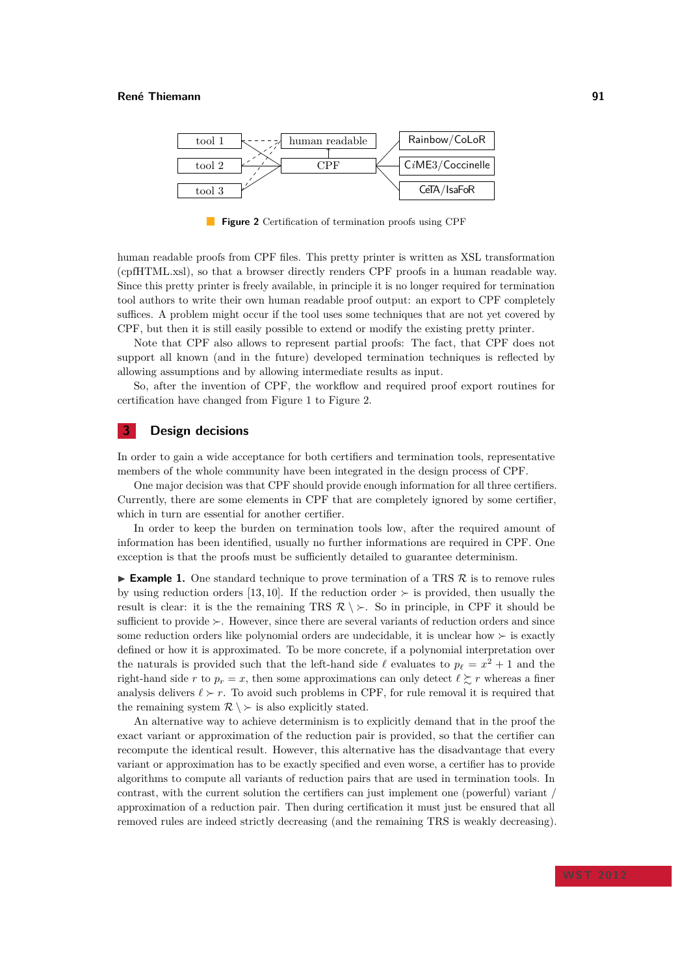

**Figure 2** Certification of termination proofs using CPF

human readable proofs from CPF files. This pretty printer is written as XSL transformation (cpfHTML.xsl), so that a browser directly renders CPF proofs in a human readable way. Since this pretty printer is freely available, in principle it is no longer required for termination tool authors to write their own human readable proof output: an export to CPF completely suffices. A problem might occur if the tool uses some techniques that are not yet covered by CPF, but then it is still easily possible to extend or modify the existing pretty printer.

Note that CPF also allows to represent partial proofs: The fact, that CPF does not support all known (and in the future) developed termination techniques is reflected by allowing assumptions and by allowing intermediate results as input.

So, after the invention of CPF, the workflow and required proof export routines for certification have changed from Figure 1 to Figure 2.

### **3 Design decisions**

In order to gain a wide acceptance for both certifiers and termination tools, representative members of the whole community have been integrated in the design process of CPF.

One major decision was that CPF should provide enough information for all three certifiers. Currently, there are some elements in CPF that are completely ignored by some certifier, which in turn are essential for another certifier.

In order to keep the burden on termination tools low, after the required amount of information has been identified, usually no further informations are required in CPF. One exception is that the proofs must be sufficiently detailed to guarantee determinism.

! **Example 1.** One standard technique to prove termination of a TRS *R* is to remove rules by using reduction orders [13, 10]. If the reduction order *≻* is provided, then usually the result is clear: it is the the remaining TRS  $\mathcal{R} \setminus \succ$ . So in principle, in CPF it should be sufficient to provide *≻*. However, since there are several variants of reduction orders and since some reduction orders like polynomial orders are undecidable, it is unclear how *≻* is exactly defined or how it is approximated. To be more concrete, if a polynomial interpretation over the naturals is provided such that the left-hand side  $\ell$  evaluates to  $p_{\ell} = x^2 + 1$  and the right-hand side r to  $p_r = x$ , then some approximations can only detect  $\ell \geq r$  whereas a finer analysis delivers  $\ell \succ r$ . To avoid such problems in CPF, for rule removal it is required that the remaining system  $\mathcal{R} \setminus \succ$  is also explicitly stated.

An alternative way to achieve determinism is to explicitly demand that in the proof the exact variant or approximation of the reduction pair is provided, so that the certifier can recompute the identical result. However, this alternative has the disadvantage that every variant or approximation has to be exactly specified and even worse, a certifier has to provide algorithms to compute all variants of reduction pairs that are used in termination tools. In contrast, with the current solution the certifiers can just implement one (powerful) variant, approximation of a reduction pair. Then during certification it must just be ensured that all removed rules are indeed strictly decreasing (and the remaining TRS is weakly decreasing).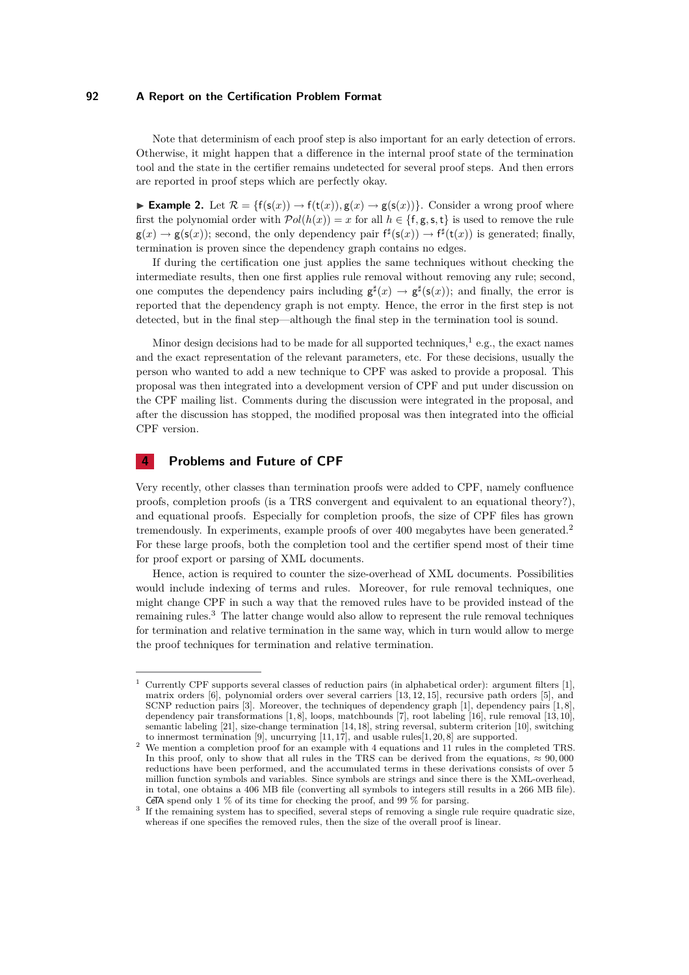#### **92 A Report on the Certification Problem Format**

Note that determinism of each proof step is also important for an early detection of errors. Otherwise, it might happen that a difference in the internal proof state of the termination tool and the state in the certifier remains undetected for several proof steps. And then errors are reported in proof steps which are perfectly okay.

**► Example 2.** Let  $\mathcal{R} = \{f(s(x)) \to f(t(x)), g(x) \to g(s(x))\}$ . Consider a wrong proof where first the polynomial order with  $\mathcal{P}ol(h(x)) = x$  for all  $h \in \{\mathsf{f}, \mathsf{g}, \mathsf{s}, \mathsf{t}\}\)$  is used to remove the rule  $g(x) \to g(s(x))$ ; second, the only dependency pair  $f^{\sharp}(s(x)) \to f^{\sharp}(t(x))$  is generated; finally, termination is proven since the dependency graph contains no edges.

If during the certification one just applies the same techniques without checking the intermediate results, then one first applies rule removal without removing any rule; second, one computes the dependency pairs including  $g^{\sharp}(x) \to g^{\sharp}(s(x))$ ; and finally, the error is reported that the dependency graph is not empty. Hence, the error in the first step is not detected, but in the final step—although the final step in the termination tool is sound.

Minor design decisions had to be made for all supported techniques,<sup>1</sup> e.g., the exact names and the exact representation of the relevant parameters, etc. For these decisions, usually the person who wanted to add a new technique to CPF was asked to provide a proposal. This proposal was then integrated into a development version of CPF and put under discussion on the CPF mailing list. Comments during the discussion were integrated in the proposal, and after the discussion has stopped, the modified proposal was then integrated into the official CPF version.

## **4 Problems and Future of CPF**

Very recently, other classes than termination proofs were added to CPF, namely confluence proofs, completion proofs (is a TRS convergent and equivalent to an equational theory?), and equational proofs. Especially for completion proofs, the size of CPF files has grown tremendously. In experiments, example proofs of over 400 megabytes have been generated.<sup>2</sup> For these large proofs, both the completion tool and the certifier spend most of their time for proof export or parsing of XML documents.

Hence, action is required to counter the size-overhead of XML documents. Possibilities would include indexing of terms and rules. Moreover, for rule removal techniques, one might change CPF in such a way that the removed rules have to be provided instead of the remaining rules.<sup>3</sup> The latter change would also allow to represent the rule removal techniques for termination and relative termination in the same way, which in turn would allow to merge the proof techniques for termination and relative termination.

<sup>1</sup> Currently CPF supports several classes of reduction pairs (in alphabetical order): argument filters [1], matrix orders [6], polynomial orders over several carriers [13, 12, 15], recursive path orders [5], and SCNP reduction pairs [3]. Moreover, the techniques of dependency graph [1], dependency pairs [1, 8], dependency pair transformations [1, 8], loops, matchbounds [7], root labeling [16], rule removal [13, 10], semantic labeling [21], size-change termination [14, 18], string reversal, subterm criterion [10], switching

to innermost termination [9], uncurrying  $[11, 17]$ , and usable rules $[1, 20, 8]$  are supported.<br><sup>2</sup> We mention a completion proof for an example with 4 equations and 11 rules in the completed TRS. In this proof, only to show that all rules in the TRS can be derived from the equations,  $\approx 90,000$ reductions have been performed, and the accumulated terms in these derivations consists of over 5 million function symbols and variables. Since symbols are strings and since there is the XML-overhead, in total, one obtains a 406 MB file (converting all symbols to integers still results in a 266 MB file). CeTA spend only 1  $\%$  of its time for checking the proof, and 99  $\%$  for parsing.

 $^3$  If the remaining system has to specified, several steps of removing a single rule require quadratic size, whereas if one specifies the removed rules, then the size of the overall proof is linear.